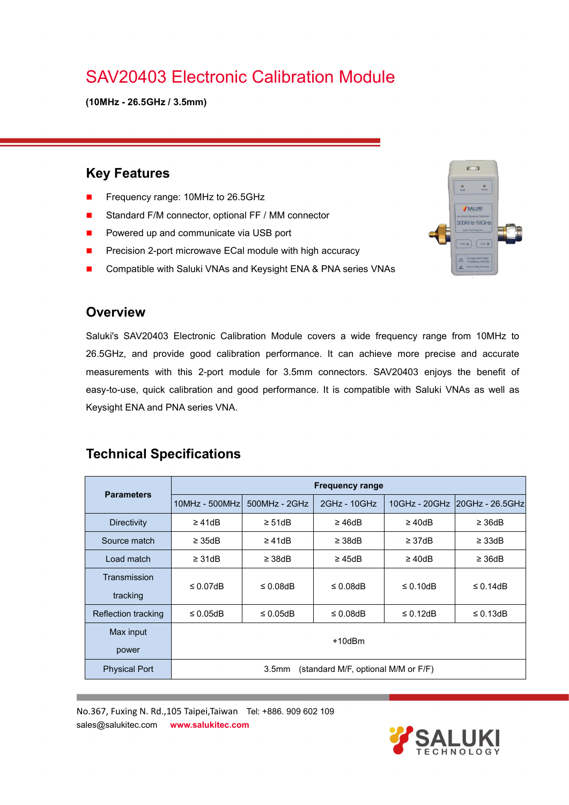# SAV20403 Electronic Calibration Module

**(10MHz - 26.5GHz / 3.5mm)**

#### **Key Features**

- Frequency range: 10MHz to 26.5GHz
- Standard F/M connector, optional FF / MM connector
- **Powered up and communicate via USB port**
- **Precision 2-port microwave ECal module with high accuracy**
- Compatible with Saluki VNAs and Keysight ENA & PNA series VNAs

#### **Overview**

Saluki's SAV20403 Electronic Calibration Module covers a wide frequency range from 10MHz to 26.5GHz, and provide good calibration performance. It can achieve more precise and accurate measurements with this 2-port module for 3.5mm connectors. SAV20403 enjoys the benefit of easy-to-use, quick calibration and good performance. It is compatible with Saluki VNAs as well as Keysight ENA and PNA series VNA.

### **Technical Specifications**

|                          | <b>Frequency range</b>                                   |                 |                            |                 |                                 |
|--------------------------|----------------------------------------------------------|-----------------|----------------------------|-----------------|---------------------------------|
| <b>Parameters</b>        | $10MHz - 500MHz$                                         | $500MHz - 2GHz$ | $2GHz - 10GHz$             |                 | 10GHz - 20GHz   20GHz - 26.5GHz |
| <b>Directivity</b>       | $\geq 41dB$                                              | $\geq 51dB$     | $\geq 46$ d $\overline{B}$ | $\geq 40$ d $B$ | $\geq$ 36dB                     |
| Source match             | $\geq$ 35dB                                              | $\geq 41dB$     | $\geq$ 38dB                | $\geq$ 37dB     | $\geq$ 33dB                     |
| Load match               | $\geq$ 31dB                                              | $\geq$ 38dB     | $\geq$ 45dB                | $\geq 40dB$     | $\geq$ 36dB                     |
| Transmission<br>tracking | $\leq 0.07$ dB                                           | $\leq 0.08$ dB  | $\leq$ 0.08dB              | $\leq$ 0.10dB   | $\leq$ 0.14dB                   |
| Reflection tracking      | $\leq 0.05$ dB                                           | $\leq 0.05$ dB  | $\leq 0.08$ dB             | $\leq$ 0.12dB   | $\leq$ 0.13dB                   |
| Max input<br>power       | $+10$ d $Bm$                                             |                 |                            |                 |                                 |
| <b>Physical Port</b>     | (standard M/F, optional M/M or F/F)<br>3.5 <sub>mm</sub> |                 |                            |                 |                                 |

No.367, Fuxing N. Rd.,105 Taipei,Taiwan Tel: +886. 909 602 109 sales@salukitec.com **www.salukitec.com**